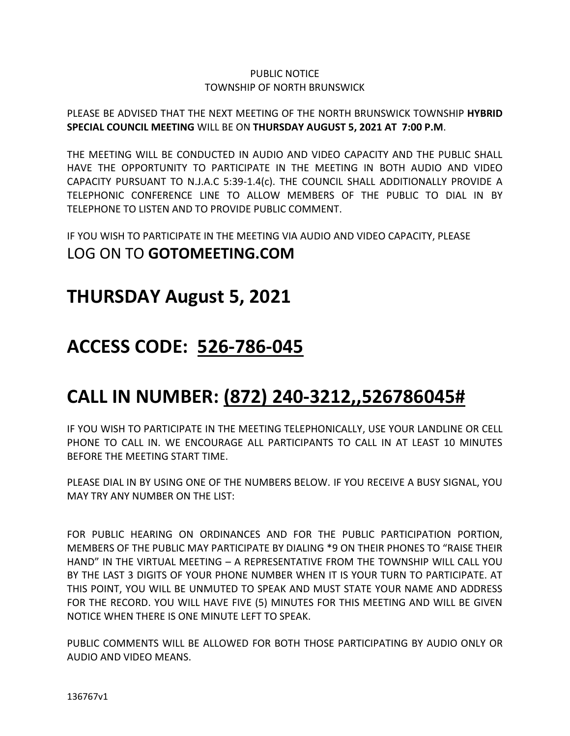### PUBLIC NOTICE TOWNSHIP OF NORTH BRUNSWICK

### PLEASE BE ADVISED THAT THE NEXT MEETING OF THE NORTH BRUNSWICK TOWNSHIP **HYBRID SPECIAL COUNCIL MEETING** WILL BE ON **THURSDAY AUGUST 5, 2021 AT 7:00 P.M**.

THE MEETING WILL BE CONDUCTED IN AUDIO AND VIDEO CAPACITY AND THE PUBLIC SHALL HAVE THE OPPORTUNITY TO PARTICIPATE IN THE MEETING IN BOTH AUDIO AND VIDEO CAPACITY PURSUANT TO N.J.A.C 5:39-1.4(c). THE COUNCIL SHALL ADDITIONALLY PROVIDE A TELEPHONIC CONFERENCE LINE TO ALLOW MEMBERS OF THE PUBLIC TO DIAL IN BY TELEPHONE TO LISTEN AND TO PROVIDE PUBLIC COMMENT.

IF YOU WISH TO PARTICIPATE IN THE MEETING VIA AUDIO AND VIDEO CAPACITY, PLEASE LOG ON TO **GOTOMEETING.COM**

### **THURSDAY August 5, 2021**

## **ACCESS CODE: 526-786-045**

# **CALL IN NUMBER: (872) 240-3212,,526786045#**

IF YOU WISH TO PARTICIPATE IN THE MEETING TELEPHONICALLY, USE YOUR LANDLINE OR CELL PHONE TO CALL IN. WE ENCOURAGE ALL PARTICIPANTS TO CALL IN AT LEAST 10 MINUTES BEFORE THE MEETING START TIME.

PLEASE DIAL IN BY USING ONE OF THE NUMBERS BELOW. IF YOU RECEIVE A BUSY SIGNAL, YOU MAY TRY ANY NUMBER ON THE LIST:

FOR PUBLIC HEARING ON ORDINANCES AND FOR THE PUBLIC PARTICIPATION PORTION, MEMBERS OF THE PUBLIC MAY PARTICIPATE BY DIALING \*9 ON THEIR PHONES TO "RAISE THEIR HAND" IN THE VIRTUAL MEETING – A REPRESENTATIVE FROM THE TOWNSHIP WILL CALL YOU BY THE LAST 3 DIGITS OF YOUR PHONE NUMBER WHEN IT IS YOUR TURN TO PARTICIPATE. AT THIS POINT, YOU WILL BE UNMUTED TO SPEAK AND MUST STATE YOUR NAME AND ADDRESS FOR THE RECORD. YOU WILL HAVE FIVE (5) MINUTES FOR THIS MEETING AND WILL BE GIVEN NOTICE WHEN THERE IS ONE MINUTE LEFT TO SPEAK.

PUBLIC COMMENTS WILL BE ALLOWED FOR BOTH THOSE PARTICIPATING BY AUDIO ONLY OR AUDIO AND VIDEO MEANS.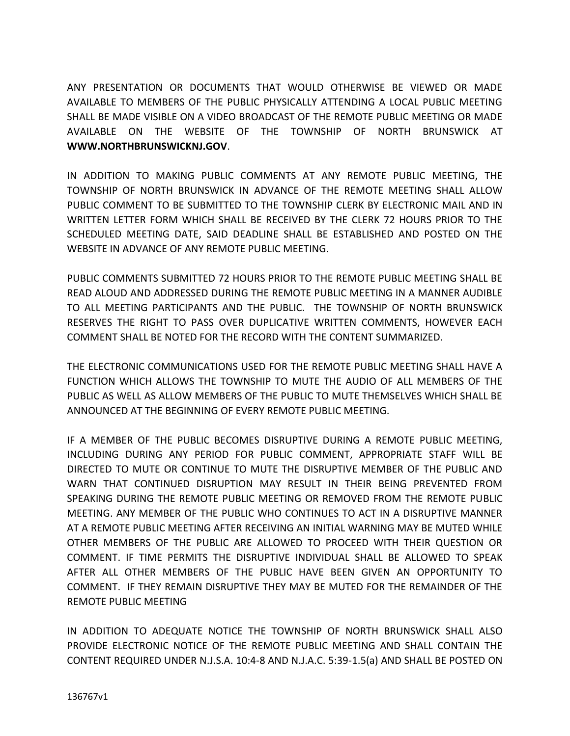ANY PRESENTATION OR DOCUMENTS THAT WOULD OTHERWISE BE VIEWED OR MADE AVAILABLE TO MEMBERS OF THE PUBLIC PHYSICALLY ATTENDING A LOCAL PUBLIC MEETING SHALL BE MADE VISIBLE ON A VIDEO BROADCAST OF THE REMOTE PUBLIC MEETING OR MADE AVAILABLE ON THE WEBSITE OF THE TOWNSHIP OF NORTH BRUNSWICK AT **WWW.NORTHBRUNSWICKNJ.GOV**.

IN ADDITION TO MAKING PUBLIC COMMENTS AT ANY REMOTE PUBLIC MEETING, THE TOWNSHIP OF NORTH BRUNSWICK IN ADVANCE OF THE REMOTE MEETING SHALL ALLOW PUBLIC COMMENT TO BE SUBMITTED TO THE TOWNSHIP CLERK BY ELECTRONIC MAIL AND IN WRITTEN LETTER FORM WHICH SHALL BE RECEIVED BY THE CLERK 72 HOURS PRIOR TO THE SCHEDULED MEETING DATE, SAID DEADLINE SHALL BE ESTABLISHED AND POSTED ON THE WEBSITE IN ADVANCE OF ANY REMOTE PUBLIC MEETING.

PUBLIC COMMENTS SUBMITTED 72 HOURS PRIOR TO THE REMOTE PUBLIC MEETING SHALL BE READ ALOUD AND ADDRESSED DURING THE REMOTE PUBLIC MEETING IN A MANNER AUDIBLE TO ALL MEETING PARTICIPANTS AND THE PUBLIC. THE TOWNSHIP OF NORTH BRUNSWICK RESERVES THE RIGHT TO PASS OVER DUPLICATIVE WRITTEN COMMENTS, HOWEVER EACH COMMENT SHALL BE NOTED FOR THE RECORD WITH THE CONTENT SUMMARIZED.

THE ELECTRONIC COMMUNICATIONS USED FOR THE REMOTE PUBLIC MEETING SHALL HAVE A FUNCTION WHICH ALLOWS THE TOWNSHIP TO MUTE THE AUDIO OF ALL MEMBERS OF THE PUBLIC AS WELL AS ALLOW MEMBERS OF THE PUBLIC TO MUTE THEMSELVES WHICH SHALL BE ANNOUNCED AT THE BEGINNING OF EVERY REMOTE PUBLIC MEETING.

IF A MEMBER OF THE PUBLIC BECOMES DISRUPTIVE DURING A REMOTE PUBLIC MEETING, INCLUDING DURING ANY PERIOD FOR PUBLIC COMMENT, APPROPRIATE STAFF WILL BE DIRECTED TO MUTE OR CONTINUE TO MUTE THE DISRUPTIVE MEMBER OF THE PUBLIC AND WARN THAT CONTINUED DISRUPTION MAY RESULT IN THEIR BEING PREVENTED FROM SPEAKING DURING THE REMOTE PUBLIC MEETING OR REMOVED FROM THE REMOTE PUBLIC MEETING. ANY MEMBER OF THE PUBLIC WHO CONTINUES TO ACT IN A DISRUPTIVE MANNER AT A REMOTE PUBLIC MEETING AFTER RECEIVING AN INITIAL WARNING MAY BE MUTED WHILE OTHER MEMBERS OF THE PUBLIC ARE ALLOWED TO PROCEED WITH THEIR QUESTION OR COMMENT. IF TIME PERMITS THE DISRUPTIVE INDIVIDUAL SHALL BE ALLOWED TO SPEAK AFTER ALL OTHER MEMBERS OF THE PUBLIC HAVE BEEN GIVEN AN OPPORTUNITY TO COMMENT. IF THEY REMAIN DISRUPTIVE THEY MAY BE MUTED FOR THE REMAINDER OF THE REMOTE PUBLIC MEETING

IN ADDITION TO ADEQUATE NOTICE THE TOWNSHIP OF NORTH BRUNSWICK SHALL ALSO PROVIDE ELECTRONIC NOTICE OF THE REMOTE PUBLIC MEETING AND SHALL CONTAIN THE CONTENT REQUIRED UNDER N.J.S.A. 10:4-8 AND N.J.A.C. 5:39-1.5(a) AND SHALL BE POSTED ON